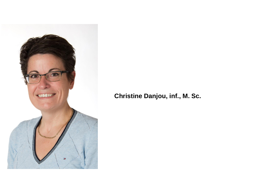

#### **Christine Danjou, inf., M. Sc.**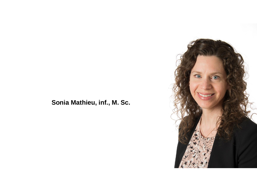#### **Sonia Mathieu, inf., M. Sc.**

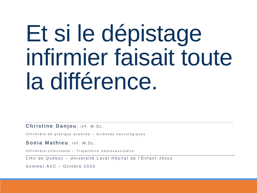# Et si le dépistage infirmier faisait toute la différence.

**Christine Danjou**, inf. M.Sc.

Infirmière de pratique avancée - Sciences neurologiques

Sonia Mathieu, inf. M.Sc.

Infirmière clinicienne – Trajectoire neurovasculaire

CHU de Québec – Université Laval Hôpital de l'Enfant-Jésus

Sommet AVC – Octobre 2020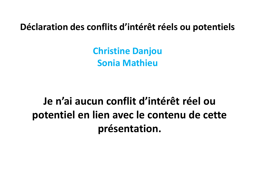**Déclaration des conflits d'intérêt réels ou potentiels**

**Christine Danjou Sonia Mathieu**

**Je n'ai aucun conflit d'intérêt réel ou potentiel en lien avec le contenu de cette présentation.**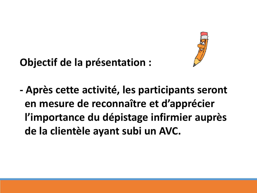

### **Objectif de la présentation :**

**- Après cette activité, les participants seront en mesure de reconnaître et d'apprécier l'importance du dépistage infirmier auprès de la clientèle ayant subi un AVC.**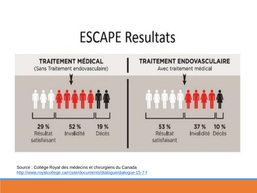### **ESCAPE Resultats**



Source : Collège Royal des médecins et chirurgiens du Canada <http://www.royalcollege.ca/rcsite/documents/dialogue/dialogue-15-7-f>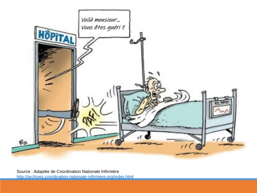

Source : Adaptée de Coordination Nationale Infirmière <http://archives.coordination-nationale-infirmiere.org/index.html>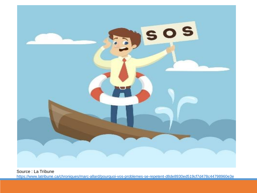

Source : La Tribune <https://www.latribune.ca/chroniques/marc-allard/pourquoi-vos-problemes-se-repetent-d8de8930ed519cf7d478c44798960e3e>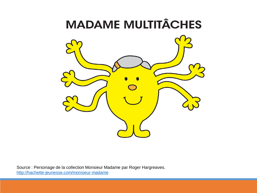### **MADAME MULTITÂCHES**



Source : Personage de la collection Monsieur Madame par Roger Hargreaves. <http://hachette-jeunesse.com/monsieur-madame>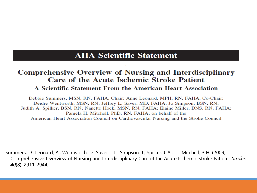#### **AHA Scientific Statement**

#### **Comprehensive Overview of Nursing and Interdisciplinary Care of the Acute Ischemic Stroke Patient**

#### A Scientific Statement From the American Heart Association

Debbie Summers, MSN, RN, FAHA, Chair; Anne Leonard, MPH, RN, FAHA, Co-Chair; Deidre Wentworth, MSN, RN; Jeffrey L. Saver, MD, FAHA; Jo Simpson, BSN, RN; Judith A. Spilker, BSN, RN; Nanette Hock, MSN, RN, FAHA; Elaine Miller, DNS, RN, FAHA; Pamela H. Mitchell, PhD, RN, FAHA; on behalf of the American Heart Association Council on Cardiovascular Nursing and the Stroke Council

Summers, D., Leonard, A., Wentworth, D., Saver, J. L., Simpson, J., Spilker, J. A., . . . Mitchell, P. H. (2009). Comprehensive Overview of Nursing and Interdisciplinary Care of the Acute Ischemic Stroke Patient. Stroke, 40(8), 2911-2944.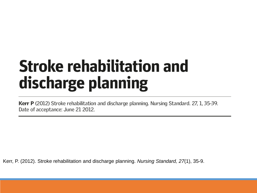## **Stroke rehabilitation and** discharge planning

Kerr P (2012) Stroke rehabilitation and discharge planning. Nursing Standard. 27, 1, 35-39. Date of acceptance: June 21 2012.

Kerr, P. (2012). Stroke rehabilitation and discharge planning. *Nursing Standard, 27*(1), 35-9.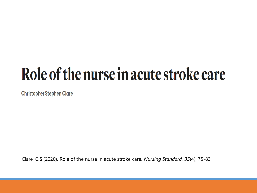## Role of the nurse in acute stroke care

**Christopher Stephen Clare** 

Clare, C.S (2020). Role of the nurse in acute stroke care. *Nursing Standard, 35*(4), 75-83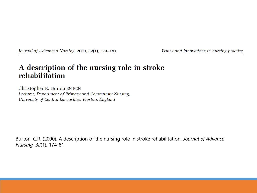Journal of Advanced Nursing, 2000, 32(1), 174-181

Issues and innovations in nursing practice

#### A description of the nursing role in stroke rehabilitation

Christopher R. Burton BN RGN Lecturer, Department of Primary and Community Nursing, University of Central Lancashire, Preston, England

Burton, C.R. (2000). A description of the nursing role in stroke rehabilitation. Journal of Advance Nursing, 32(1), 174-81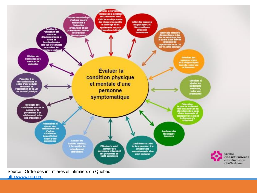

Source : Ordre des infirmières et infirmiers du Québec [http://www.oiiq.org](http://www.oiiq.org/)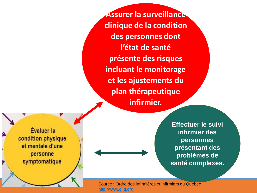**Assurer la surveillance clinique de la condition des personnes dont l'état de santé présente des risques incluant le monitorage et les ajustements du plan thérapeutique infirmier.**

Évaluer la condition physique et mentale d'une personne symptomatique

**Effectuer le suivi infirmier des personnes présentant des problèmes de santé complexes.**

Source : Ordre des infirmières et infirmiers du Québec [http://www.oiiq.org](http://www.oiiq.org/)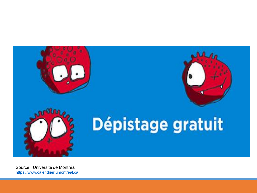

# Dépistage gratuit

Source : Université de Montréal [https://www.calendrier.umontreal.ca](https://www.calendrier.umontreal.ca/detail/862449-depistage-gratuit-contre-la-chlamydia-et-la-gonorrhee)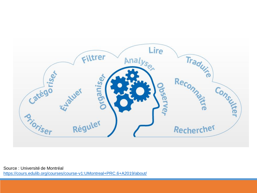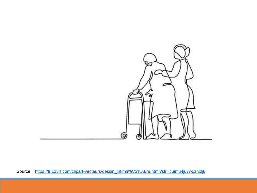

Source: https://fr.123rf.com/clipart-vecteurs/dessin\_infirmi%C3%A8re.html?sti=lcuimu4ju7wqznblj8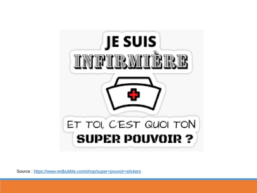

Source : <https://www.redbubble.com/shop/super+pouvoir+stickers>